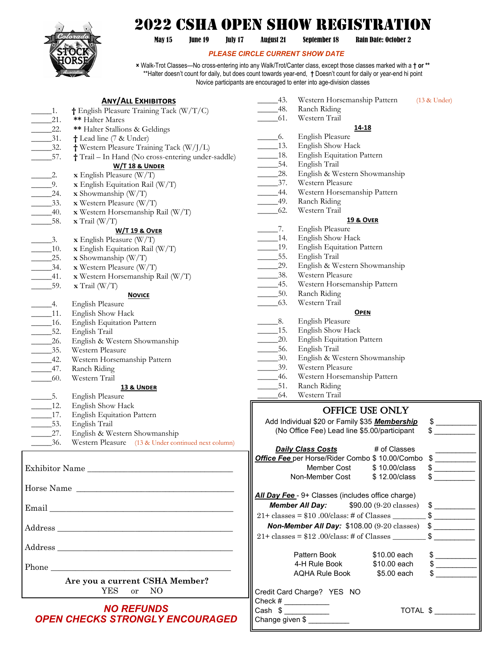

## 2022 CSHA Open Show Registration

May 15 June 19 July 17 August 21 September 18 Rain Date: October 2

## *PLEASE CIRCLE CURRENT SHOW DATE*

**×** Walk-Trot Classes—No cross-entering into any Walk/Trot/Canter class, except those classes marked with a **† or \*\*** \*\*Halter doesn't count for daily, but does count towards year-end, **†** Doesn't count for daily or year-end hi point Novice participants are encouraged to enter into age-division classes

|                                    | <b>ANY/ALL EXHIBITORS</b>                           | -43.                                                           | Western Horsemanship Pattern                              |                                                             | (13 & Under)  |
|------------------------------------|-----------------------------------------------------|----------------------------------------------------------------|-----------------------------------------------------------|-------------------------------------------------------------|---------------|
| $\lrcorner$ 1.                     | † English Pleasure Training Tack (W/T/C)            | $-48.$                                                         | Ranch Riding                                              |                                                             |               |
| 21.                                | ** Halter Mares                                     | 61.                                                            | Western Trail                                             |                                                             |               |
| 22.                                | ** Halter Stallions & Geldings                      |                                                                | 14-18                                                     |                                                             |               |
| $\overline{\phantom{0}31}.$        | + Lead line (7 & Under)                             | $\_6.$                                                         | English Pleasure                                          |                                                             |               |
| $-32.$                             | † Western Pleasure Training Tack (W/J/L)            | $-13.$                                                         | English Show Hack                                         |                                                             |               |
| 57.                                | † Trail - In Hand (No cross-entering under-saddle)  | $\_18$ .                                                       | English Equitation Pattern                                |                                                             |               |
|                                    | <b>W/T 18 &amp; UNDER</b>                           | $-54.$                                                         | English Trail                                             |                                                             |               |
| $\overline{\phantom{1}}$ 2.        | $x$ English Pleasure (W/T)                          | 28.                                                            | English & Western Showmanship                             |                                                             |               |
| $\overline{0}$ .                   | $x$ English Equitation Rail (W/T)                   | $\frac{37}{2}$                                                 | Western Pleasure                                          |                                                             |               |
| 24.                                | $x$ Showmanship (W/T)                               | $\frac{44}{1}$                                                 | Western Horsemanship Pattern                              |                                                             |               |
| $-33.$                             | $x$ Western Pleasure (W/T)                          | $-49.$                                                         | Ranch Riding                                              |                                                             |               |
| $-40.$                             | x Western Horsemanship Rail (W/T)                   | $-62.$                                                         | Western Trail                                             |                                                             |               |
| 58.                                | $\mathbf{x}$ Trail (W/T)                            |                                                                | <b>19 &amp; OVER</b>                                      |                                                             |               |
|                                    | <b>W/T 19 &amp; OVER</b>                            | $\overline{7}$ .                                               | English Pleasure                                          |                                                             |               |
| $\overline{\phantom{1}}$ 3.        | $x$ English Pleasure (W/T)                          | $\_14.$                                                        | English Show Hack                                         |                                                             |               |
| $\frac{10}{2}$                     | $x$ English Equitation Rail (W/T)                   | $-19.$                                                         | English Equitation Pattern                                |                                                             |               |
| 25.                                | $x$ Showmanship (W/T)                               | $\frac{55}{2}$                                                 | English Trail                                             |                                                             |               |
| $\frac{34}{1}$                     | $x$ Western Pleasure (W/T)                          | $\frac{29}{2}$                                                 | English & Western Showmanship                             |                                                             |               |
| $-41.$                             | x Western Horsemanship Rail (W/T)                   | $-38.$                                                         | Western Pleasure                                          |                                                             |               |
| 59.                                | $\mathbf{x}$ Trail (W/T)                            | $-45.$                                                         | Western Horsemanship Pattern                              |                                                             |               |
|                                    | <b>NOVICE</b>                                       | $\_\_\$ 50.                                                    | Ranch Riding                                              |                                                             |               |
| 4.                                 | <b>English Pleasure</b>                             | 63.                                                            | Western Trail                                             |                                                             |               |
| $\frac{11}{2}$                     | English Show Hack                                   |                                                                | <b>OPEN</b>                                               |                                                             |               |
| $\_\_\_\$ 16.                      | <b>English Equitation Pattern</b>                   | $\_\_\_\$ 8.                                                   | English Pleasure                                          |                                                             |               |
| $\frac{52}{2}$                     | English Trail                                       | $\_15.$                                                        | English Show Hack                                         |                                                             |               |
| 26.                                | English & Western Showmanship                       | $\overline{20}$ .                                              | English Equitation Pattern                                |                                                             |               |
| $-35.$                             | Western Pleasure                                    | $-56.$                                                         | English Trail                                             |                                                             |               |
| $-42.$                             | Western Horsemanship Pattern                        | $\overline{\phantom{0}30}$ .                                   | English & Western Showmanship                             |                                                             |               |
| $-47.$                             | Ranch Riding                                        | $-39.$                                                         | Western Pleasure                                          |                                                             |               |
| 60.                                | Western Trail                                       | $\_\_\$ 46.                                                    | Western Horsemanship Pattern                              |                                                             |               |
|                                    | <b>13 &amp; UNDER</b>                               | $\_\_\_\$ 51.                                                  | Ranch Riding                                              |                                                             |               |
| $\frac{5}{2}$                      | <b>English Pleasure</b>                             | 64.                                                            | Western Trail                                             |                                                             |               |
| $\frac{12}{2}$                     | English Show Hack                                   |                                                                |                                                           |                                                             |               |
| $\_17.$                            | <b>English Equitation Pattern</b>                   | OFFICE USE ONLY                                                |                                                           |                                                             |               |
| $-53.$<br>$\overline{\phantom{a}}$ | English Trail                                       | Add Individual \$20 or Family \$35 Membership<br>$\frac{1}{2}$ |                                                           |                                                             |               |
| 27.                                | English & Western Showmanship                       |                                                                | (No Office Fee) Lead line \$5.00/participant              |                                                             | $\mathbb{S}$  |
| 36.                                | Western Pleasure (13 & Under continued next column) |                                                                |                                                           |                                                             |               |
|                                    |                                                     |                                                                | <b>Daily Class Costs</b>                                  | # of Classes                                                |               |
|                                    |                                                     |                                                                | Office Fee per Horse/Rider Combo \$ 10.00/Combo \$        |                                                             |               |
|                                    | Exhibitor Name                                      |                                                                | Member Cost                                               | \$10.00/class                                               | $\frac{1}{2}$ |
|                                    |                                                     |                                                                | Non-Member Cost                                           | \$12.00/class                                               |               |
|                                    | Horse Name                                          |                                                                |                                                           |                                                             |               |
|                                    |                                                     |                                                                | All Day Fee - 9+ Classes (includes office charge)         |                                                             |               |
|                                    |                                                     |                                                                | <b>Member All Day:</b>                                    | $$90.00 (9-20 \text{ classes}) \quad $ {\color{red} {\$ }}$ |               |
|                                    |                                                     |                                                                |                                                           |                                                             |               |
|                                    |                                                     |                                                                | <b>Non-Member All Day: \$108.00 (9-20 classes) \$</b>     |                                                             |               |
|                                    |                                                     |                                                                | $21+$ classes = \$12.00/class: # of Classes __________ \$ |                                                             |               |
|                                    |                                                     |                                                                |                                                           |                                                             |               |
|                                    |                                                     |                                                                | Pattern Book                                              | \$10.00 each                                                |               |
|                                    |                                                     |                                                                | 4-H Rule Book                                             | \$10.00 each                                                | $\frac{1}{2}$ |
|                                    |                                                     |                                                                | AQHA Rule Book                                            | \$5.00 each                                                 | $\sim$        |
|                                    | Are you a current CSHA Member?                      |                                                                |                                                           |                                                             |               |
|                                    | <b>YES</b><br>NO<br>or                              |                                                                | Credit Card Charge? YES NO                                |                                                             |               |
|                                    |                                                     |                                                                | Check # $\frac{$                                          |                                                             |               |
|                                    | <b>NO REFUNDS</b>                                   |                                                                | Cash \$                                                   |                                                             | TOTAL \$      |
|                                    | <b>OPEN CHECKS STRONGLY ENCOURAGED</b>              |                                                                | Change given \$                                           |                                                             |               |
|                                    |                                                     |                                                                |                                                           |                                                             |               |